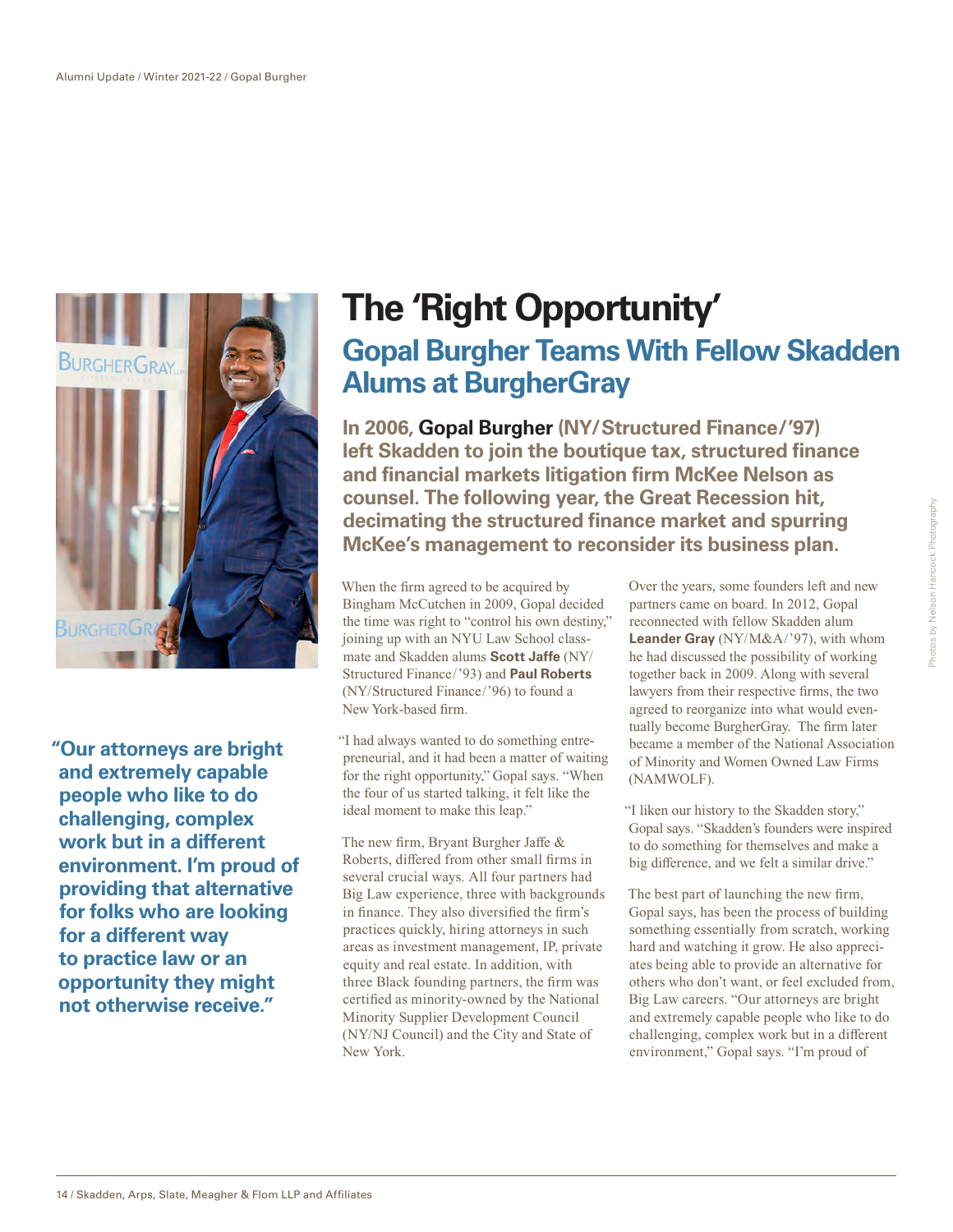

**"Our attorneys are bright and extremely capable people who like to do challenging, complex work but in a different environment. I'm proud of providing that alternative for folks who are looking for a different way to practice law or an opportunity they might not otherwise receive."**

## **The 'Right Opportunity' Gopal Burgher Teams With Fellow Skadden Alums at BurgherGray**

**In 2006, Gopal Burgher (NY/Structured Finance/'97) left Skadden to join the boutique tax, structured finance and financial markets litigation firm McKee Nelson as counsel. The following year, the Great Recession hit, decimating the structured finance market and spurring McKee's management to reconsider its business plan.** 

When the firm agreed to be acquired by Bingham McCutchen in 2009, Gopal decided the time was right to "control his own destiny, " joining up with an NYU Law School classmate and Skadden alums **Scott Jaffe** (NY/ Structured Finance/'93) and **Paul Roberts** (NY/Structured Finance/'96) to found a New York-based firm.

"I had always wanted to do something entrepreneurial, and it had been a matter of waiting for the right opportunity," Gopal says. "When the four of us started talking, it felt like the ideal moment to make this leap."

The new firm, Bryant Burgher Jaffe & Roberts, differed from other small firms in several crucial ways. All four partners had Big Law experience, three with backgrounds in finance. They also diversified the firm's practices quickly, hiring attorneys in such areas as investment management, IP, private equity and real estate. In addition, with three Black founding partners, the firm was certified as minority-owned by the National Minority Supplier Development Council (NY/NJ Council) and the City and State of New York.

Over the years, some founders left and new partners came on board. In 2012, Gopal reconnected with fellow Skadden alum **Leander Gray** (NY/M&A/'97), with whom he had discussed the possibility of working together back in 2009. Along with several lawyers from their respective firms, the two agreed to reorganize into what would eventually become BurgherGray. The firm later became a member of the National Association of Minority and Women Owned Law Firms (NAMWOLF).

"I liken our history to the Skadden story," Gopal says. "Skadden's founders were inspired to do something for themselves and make a big difference, and we felt a similar drive."

The best part of launching the new firm, Gopal says, has been the process of building something essentially from scratch, working hard and watching it grow. He also appreciates being able to provide an alternative for others who don't want, or feel excluded from, Big Law careers. "Our attorneys are bright and extremely capable people who like to do challenging, complex work but in a different environment," Gopal says. "I'm proud of